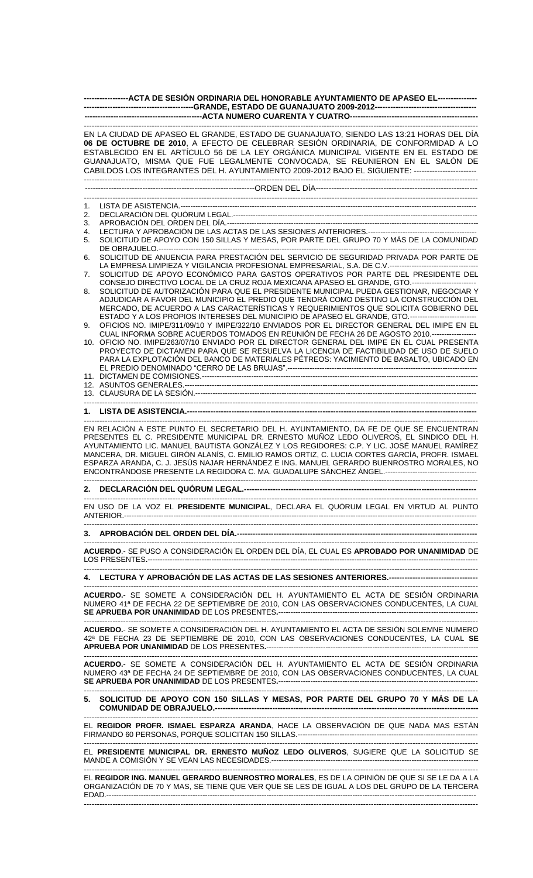| -----------------ACTA DE SESIÓN ORDINARIA DEL HONORABLE AYUNTAMIENTO DE APASEO EL---------------                                                                                                                                                                                                                                                                                                                                                                                                                                                                                       |                                                                                                                                                                                                    |
|----------------------------------------------------------------------------------------------------------------------------------------------------------------------------------------------------------------------------------------------------------------------------------------------------------------------------------------------------------------------------------------------------------------------------------------------------------------------------------------------------------------------------------------------------------------------------------------|----------------------------------------------------------------------------------------------------------------------------------------------------------------------------------------------------|
|                                                                                                                                                                                                                                                                                                                                                                                                                                                                                                                                                                                        |                                                                                                                                                                                                    |
| EN LA CIUDAD DE APASEO EL GRANDE, ESTADO DE GUANAJUATO, SIENDO LAS 13:21 HORAS DEL DÍA<br>06 DE OCTUBRE DE 2010, A EFECTO DE CELEBRAR SESIÓN ORDINARIA, DE CONFORMIDAD A LO<br>ESTABLECIDO EN EL ARTÍCULO 56 DE LA LEY ORGÁNICA MUNICIPAL VIGENTE EN EL ESTADO DE<br>GUANAJUATO, MISMA QUE FUE LEGALMENTE CONVOCADA, SE REUNIERON EN EL SALÓN DE<br>CABILDOS LOS INTEGRANTES DEL H. AYUNTAMIENTO 2009-2012 BAJO EL SIGUIENTE: -------------------------                                                                                                                                |                                                                                                                                                                                                    |
|                                                                                                                                                                                                                                                                                                                                                                                                                                                                                                                                                                                        |                                                                                                                                                                                                    |
|                                                                                                                                                                                                                                                                                                                                                                                                                                                                                                                                                                                        |                                                                                                                                                                                                    |
| 1.                                                                                                                                                                                                                                                                                                                                                                                                                                                                                                                                                                                     |                                                                                                                                                                                                    |
| 2.                                                                                                                                                                                                                                                                                                                                                                                                                                                                                                                                                                                     |                                                                                                                                                                                                    |
| 3.<br>4.                                                                                                                                                                                                                                                                                                                                                                                                                                                                                                                                                                               | LECTURA Y APROBACIÓN DE LAS ACTAS DE LAS SESIONES ANTERIORES.--------------------------                                                                                                            |
| 5.                                                                                                                                                                                                                                                                                                                                                                                                                                                                                                                                                                                     | SOLICITUD DE APOYO CON 150 SILLAS Y MESAS, POR PARTE DEL GRUPO 70 Y MÁS DE LA COMUNIDAD                                                                                                            |
| 6.                                                                                                                                                                                                                                                                                                                                                                                                                                                                                                                                                                                     | SOLICITUD DE ANUENCIA PARA PRESTACIÓN DEL SERVICIO DE SEGURIDAD PRIVADA POR PARTE DE<br>LA EMPRESA LIMPIEZA Y VIGILANCIA PROFESIONAL EMPRESARIAL, S.A. DE C.V.----------------------------------   |
| 7.                                                                                                                                                                                                                                                                                                                                                                                                                                                                                                                                                                                     | SOLICITUD DE APOYO ECONÓMICO PARA GASTOS OPERATIVOS POR PARTE DEL PRESIDENTE DEL                                                                                                                   |
| 8.                                                                                                                                                                                                                                                                                                                                                                                                                                                                                                                                                                                     | CONSEJO DIRECTIVO LOCAL DE LA CRUZ ROJA MEXICANA APASEO EL GRANDE, GTO.---------------------------<br>SOLICITUD DE AUTORIZACIÓN PARA QUE EL PRESIDENTE MUNICIPAL PUEDA GESTIONAR, NEGOCIAR Y       |
|                                                                                                                                                                                                                                                                                                                                                                                                                                                                                                                                                                                        | ADJUDICAR A FAVOR DEL MUNICIPIO EL PREDIO QUE TENDRÁ COMO DESTINO LA CONSTRUCCIÓN DEL<br>MERCADO, DE ACUERDO A LAS CARACTERÍSTICAS Y REQUERIMIENTOS QUE SOLICITA GOBIERNO DEL                      |
| 9.                                                                                                                                                                                                                                                                                                                                                                                                                                                                                                                                                                                     | ESTADO Y A LOS PROPIOS INTERESES DEL MUNICIPIO DE APASEO EL GRANDE, GTO.---------------------------<br>OFICIOS NO. IMIPE/311/09/10 Y IMIPE/322/10 ENVIADOS POR EL DIRECTOR GENERAL DEL IMIPE EN EL |
|                                                                                                                                                                                                                                                                                                                                                                                                                                                                                                                                                                                        | CUAL INFORMA SOBRE ACUERDOS TOMADOS EN REUNIÓN DE FECHA 26 DE AGOSTO 2010.-----------------                                                                                                        |
|                                                                                                                                                                                                                                                                                                                                                                                                                                                                                                                                                                                        | 10. OFICIO NO. IMIPE/263/07/10 ENVIADO POR EL DIRECTOR GENERAL DEL IMIPE EN EL CUAL PRESENTA                                                                                                       |
|                                                                                                                                                                                                                                                                                                                                                                                                                                                                                                                                                                                        | PROYECTO DE DICTAMEN PARA QUE SE RESUELVA LA LICENCIA DE FACTIBILIDAD DE USO DE SUELO                                                                                                              |
|                                                                                                                                                                                                                                                                                                                                                                                                                                                                                                                                                                                        | PARA LA EXPLOTACIÓN DEL BANCO DE MATERIALES PÉTREOS: YACIMIENTO DE BASALTO, UBICADO EN                                                                                                             |
|                                                                                                                                                                                                                                                                                                                                                                                                                                                                                                                                                                                        |                                                                                                                                                                                                    |
|                                                                                                                                                                                                                                                                                                                                                                                                                                                                                                                                                                                        |                                                                                                                                                                                                    |
|                                                                                                                                                                                                                                                                                                                                                                                                                                                                                                                                                                                        |                                                                                                                                                                                                    |
|                                                                                                                                                                                                                                                                                                                                                                                                                                                                                                                                                                                        |                                                                                                                                                                                                    |
|                                                                                                                                                                                                                                                                                                                                                                                                                                                                                                                                                                                        |                                                                                                                                                                                                    |
| EN RELACIÓN A ESTE PUNTO EL SECRETARIO DEL H. AYUNTAMIENTO, DA FE DE QUE SE ENCUENTRAN<br>PRESENTES EL C. PRESIDENTE MUNICIPAL DR. ERNESTO MUÑOZ LEDO OLIVEROS, EL SINDICO DEL H.<br>AYUNTAMIENTO LIC. MANUEL BAUTISTA GONZÁLEZ Y LOS REGIDORES: C.P. Y LIC. JOSÉ MANUEL RAMÍREZ<br>MANCERA, DR. MIGUEL GIRÓN ALANÍS, C. EMILIO RAMOS ORTIZ, C. LUCIA CORTES GARCÍA, PROFR. ISMAEL<br>ESPARZA ARANDA, C. J. JESÚS NAJAR HERNÁNDEZ E ING. MANUEL GERARDO BUENROSTRO MORALES, NO<br>ENCONTRÁNDOSE PRESENTE LA REGIDORA C. MA. GUADALUPE SÁNCHEZ ÁNGEL.---------------------------------- |                                                                                                                                                                                                    |
| 2.                                                                                                                                                                                                                                                                                                                                                                                                                                                                                                                                                                                     |                                                                                                                                                                                                    |
|                                                                                                                                                                                                                                                                                                                                                                                                                                                                                                                                                                                        | EN USO DE LA VOZ EL PRESIDENTE MUNICIPAL, DECLARA EL QUÓRUM LEGAL EN VIRTUD AL PUNTO                                                                                                               |
|                                                                                                                                                                                                                                                                                                                                                                                                                                                                                                                                                                                        |                                                                                                                                                                                                    |
|                                                                                                                                                                                                                                                                                                                                                                                                                                                                                                                                                                                        | ACUERDO.- SE PUSO A CONSIDERACIÓN EL ORDEN DEL DÍA, EL CUAL ES APROBADO POR UNANIMIDAD DE                                                                                                          |
|                                                                                                                                                                                                                                                                                                                                                                                                                                                                                                                                                                                        | 4. LECTURA Y APROBACIÓN DE LAS ACTAS DE LAS SESIONES ANTERIORES.----------------------------------                                                                                                 |
|                                                                                                                                                                                                                                                                                                                                                                                                                                                                                                                                                                                        | ACUERDO.- SE SOMETE A CONSIDERACIÓN DEL H. AYUNTAMIENTO EL ACTA DE SESIÓN ORDINARIA                                                                                                                |
|                                                                                                                                                                                                                                                                                                                                                                                                                                                                                                                                                                                        | NUMERO 41ª DE FECHA 22 DE SEPTIEMBRE DE 2010, CON LAS OBSERVACIONES CONDUCENTES, LA CUAL                                                                                                           |
|                                                                                                                                                                                                                                                                                                                                                                                                                                                                                                                                                                                        |                                                                                                                                                                                                    |
|                                                                                                                                                                                                                                                                                                                                                                                                                                                                                                                                                                                        | <b>ACUERDO.</b> - SE SOMETE A CONSIDERACIÓN DEL H. AYUNTAMIENTO EL ACTA DE SESIÓN SOLEMNE NUMERO<br>42ª DE FECHA 23 DE SEPTIEMBRE DE 2010, CON LAS OBSERVACIONES CONDUCENTES, LA CUAL SE           |
|                                                                                                                                                                                                                                                                                                                                                                                                                                                                                                                                                                                        |                                                                                                                                                                                                    |
|                                                                                                                                                                                                                                                                                                                                                                                                                                                                                                                                                                                        | ACUERDO.- SE SOMETE A CONSIDERACIÓN DEL H. AYUNTAMIENTO EL ACTA DE SESIÓN ORDINARIA<br>NUMERO 43ª DE FECHA 24 DE SEPTIEMBRE DE 2010, CON LAS OBSERVACIONES CONDUCENTES, LA CUAL                    |
| 5.                                                                                                                                                                                                                                                                                                                                                                                                                                                                                                                                                                                     | SOLICITUD DE APOYO CON 150 SILLAS Y MESAS, POR PARTE DEL GRUPO 70 Y MÁS DE LA                                                                                                                      |
|                                                                                                                                                                                                                                                                                                                                                                                                                                                                                                                                                                                        |                                                                                                                                                                                                    |
|                                                                                                                                                                                                                                                                                                                                                                                                                                                                                                                                                                                        | EL REGIDOR PROFR. ISMAEL ESPARZA ARANDA, HACE LA OBSERVACIÓN DE QUE NADA MAS ESTÁN                                                                                                                 |
| EL PRESIDENTE MUNICIPAL DR. ERNESTO MUÑOZ LEDO OLIVEROS, SUGIERE QUE LA SOLICITUD SE                                                                                                                                                                                                                                                                                                                                                                                                                                                                                                   |                                                                                                                                                                                                    |
|                                                                                                                                                                                                                                                                                                                                                                                                                                                                                                                                                                                        | EL REGIDOR ING. MANUEL GERARDO BUENROSTRO MORALES, ES DE LA OPINIÓN DE QUE SI SE LE DA A LA<br>ORGANIZACIÓN DE 70 Y MAS, SE TIENE QUE VER QUE SE LES DE IGUAL A LOS DEL GRUPO DE LA TERCERA        |
|                                                                                                                                                                                                                                                                                                                                                                                                                                                                                                                                                                                        |                                                                                                                                                                                                    |

-------------------------------------------------------------------------------------------------------------------------------------------------------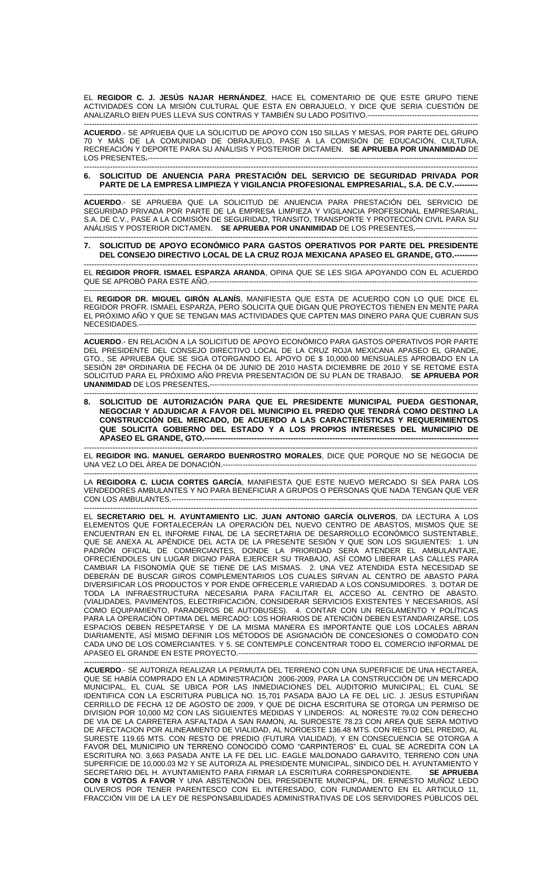EL **REGIDOR C. J. JESÚS NAJAR HERNÁNDEZ**, HACE EL COMENTARIO DE QUE ESTE GRUPO TIENE ACTIVIDADES CON LA MISIÓN CULTURAL QUE ESTA EN OBRAJUELO, Y DICE QUE SERIA CUESTIÓN DE ANALIZARLO BIEN PUES LLEVA SUS CONTRAS Y TAMBIÉN SU LADO POSITIVO.---------------------------------------------

------------------------------------------------------------------------------------------------------------------------------------------------------- **ACUERDO**.- SE APRUEBA QUE LA SOLICITUD DE APOYO CON 150 SILLAS Y MESAS, POR PARTE DEL GRUPO 70 Y MAS DE LA COMUNIDAD DE OBRAJUELO, PASE A LA COMISION DE EDUCACIÓN, CULTURA, RECREACIÓN Y DEPORTE PARA SU ANÁLISIS Y POSTERIOR DICTAMEN. **SE APRUEBA POR UNANIMIDAD** DE LOS PRESENTES**.**-------------------------------------------------------------------------------------------------------------------------------------- -------------------------------------------------------------------------------------------------------------------------------------------------------

## **6. SOLICITUD DE ANUENCIA PARA PRESTACIÓN DEL SERVICIO DE SEGURIDAD PRIVADA POR PARTE DE LA EMPRESA LIMPIEZA Y VIGILANCIA PROFESIONAL EMPRESARIAL, S.A. DE C.V.---------**

------------------------------------------------------------------------------------------------------------------------------------------------------- **ACUERDO**.- SE APRUEBA QUE LA SOLICITUD DE ANUENCIA PARA PRESTACIÓN DEL SERVICIO DE SEGURIDAD PRIVADA POR PARTE DE LA EMPRESA LIMPIEZA Y VIGILANCIA PROFESIONAL EMPRESARIAL, S.A. DE C.V., PASE A LA COMISION DE SEGURIDAD, TRANSITO, TRANSPORTE Y PROTECCION CIVIL PARA SU ANÁLISIS Y POSTERIOR DICTAMEN. **SE APRUEBA POR UNANIMIDAD** DE LOS PRESENTES**.**-------------------------

## ------------------------------------------------------------------------------------------------------------------------------------------------------- **7. SOLICITUD DE APOYO ECONÓMICO PARA GASTOS OPERATIVOS POR PARTE DEL PRESIDENTE**  DEL CONSEJO DIRECTIVO LOCAL DE LA CRUZ ROJA MEXICANA APASEO EL GRANDE, GTO.---

------------------------------------------------------------------------------------------------------------------------------------------------------- EL **REGIDOR PROFR. ISMAEL ESPARZA ARANDA**, OPINA QUE SE LES SIGA APOYANDO CON EL ACUERDO QUE SE APROBÓ PARA ESTE AÑO.-------------------------------------------------------------------------------------------------------------

------------------------------------------------------------------------------------------------------------------------------------------------------- EL **REGIDOR DR. MIGUEL GIRÓN ALANÍS**, MANIFIESTA QUE ESTA DE ACUERDO CON LO QUE DICE EL REGIDOR PROFR. ISMAEL ESPARZA, PERO SOLICITA QUE DIGAN QUE PROYECTOS TIENEN EN MENTE PARA EL PRÓXIMO AÑO Y QUE SE TENGAN MAS ACTIVIDADES QUE CAPTEN MAS DINERO PARA QUE CUBRAN SUS NECESIDADES.----

------------------------------------------------------------------------------------------------------------------------------------------------------- **ACUERDO**.- EN RELACIÓN A LA SOLICITUD DE APOYO ECONÓMICO PARA GASTOS OPERATIVOS POR PARTE DEL PRESIDENTE DEL CONSEJO DIRECTIVO LOCAL DE LA CRUZ ROJA MEXICANA APASEO EL GRANDE, GTO., SE APRUEBA QUE SE SIGA OTORGANDO EL APOYO DE \$ 10,000.00 MENSUALES APROBADO EN LA SESIÓN 28ª ORDINARIA DE FECHA 04 DE JUNIO DE 2010 HASTA DICIEMBRE DE 2010 Y SE RETOME ESTA SOLICITUD PARA EL PRÓXIMO AÑO PREVIA PRESENTACIÓN DE SU PLAN DE TRABAJO. **SE APRUEBA POR UNANIMIDAD DE LOS PRESENTES.------**

------------------------------------------------------------------------------------------------------------------------------------------------------- **8. SOLICITUD DE AUTORIZACIÓN PARA QUE EL PRESIDENTE MUNICIPAL PUEDA GESTIONAR, NEGOCIAR Y ADJUDICAR A FAVOR DEL MUNICIPIO EL PREDIO QUE TENDRÁ COMO DESTINO LA CONSTRUCCIÓN DEL MERCADO, DE ACUERDO A LAS CARACTERÍSTICAS Y REQUERIMIENTOS QUE SOLICITA GOBIERNO DEL ESTADO Y A LOS PROPIOS INTERESES DEL MUNICIPIO DE APASEO EL GRANDE, GTO.---**

------------------------------------------------------------------------------------------------------------------------------------------------------- EL **REGIDOR ING. MANUEL GERARDO BUENROSTRO MORALES**, DICE QUE PORQUE NO SE NEGOCIA DE UNA VEZ LO DEL ÁREA DE DONACIÓN.-------------------------------------------------------------------------------------------------------

------------------------------------------------------------------------------------------------------------------------------------------------------- LA **REGIDORA C. LUCIA CORTES GARCÍA**, MANIFIESTA QUE ESTE NUEVO MERCADO SI SEA PARA LOS VENDEDORES AMBULANTES Y NO PARA BENEFICIAR A GRUPOS O PERSONAS QUE NADA TENGAN QUE VER CON LOS AMBULANTES.----------------------------------------------------------------------------------------------------------------------------

------------------------------------------------------------------------------------------------------------------------------------------------------- EL **SECRETARIO DEL H. AYUNTAMIENTO LIC. JUAN ANTONIO GARCÍA OLIVEROS**, DA LECTURA A LOS ELEMENTOS QUE FORTALECERÁN LA OPERACIÓN DEL NUEVO CENTRO DE ABASTOS, MISMOS QUE SE ENCUENTRAN EN EL INFORME FINAL DE LA SECRETARIA DE DESARROLLO ECONÓMICO SUSTENTABLE, QUE SE ANEXA AL APÉNDICE DEL ACTA DE LA PRESENTE SESIÓN Y QUE SON LOS SIGUIENTES: 1. UN PADRÓN OFICIAL DE COMERCIANTES, DONDE LA PRIORIDAD SERA ATENDER EL AMBULANTAJE, OFRECIÉNDOLES UN LUGAR DIGNO PARA EJERCER SU TRABAJO, ASÍ COMO LIBERAR LAS CALLES PARA CAMBIAR LA FISONOMÍA QUE SE TIENE DE LAS MISMAS. 2. UNA VEZ ATENDIDA ESTA NECESIDAD SE DEBERÁN DE BUSCAR GIROS COMPLEMENTARIOS LOS CUALES SIRVAN AL CENTRO DE ABASTO PARA DIVERSIFICAR LOS PRODUCTOS Y POR ENDE OFRECERLE VARIEDAD A LOS CONSUMIDORES. 3. DOTAR DE TODA LA INFRAESTRUCTURA NECESARIA PARA FACILITAR EL ACCESO AL CENTRO DE ABASTO. (VIALIDADES, PAVIMENTOS, ELECTRIFICACION, CONSIDERAR SERVICIOS EXISTENTES Y NECESARIOS, ASI COMO EQUIPAMIENTO, PARADEROS DE AUTOBUSES). 4. CONTAR CON UN REGLAMENTO Y POLÍTICAS PARA LA OPERACIÓN OPTIMA DEL MERCADO: LOS HORARIOS DE ATENCIÓN DEBEN ESTANDARIZARSE, LOS ESPACIOS DEBEN RESPETARSE Y DE LA MISMA MANERA ES IMPORTANTE QUE LOS LOCALES ABRAN DIARIAMENTE, ASÍ MISMO DEFINIR LOS MÉTODOS DE ASIGNACIÓN DE CONCESIONES O COMODATO CON CADA UNO DE LOS COMERCIANTES. Y 5. SE CONTEMPLE CONCENTRAR TODO EL COMERCIO INFORMAL DE APASEO EL GRANDE EN ESTE PROYECTO.-------------------------------------------------------------------------------------------------

------------------------------------------------------------------------------------------------------------------------------------------------------- **ACUERDO**.- SE AUTORIZA REALIZAR LA PERMUTA DEL TERRENO CON UNA SUPERFICIE DE UNA HECTAREA, QUE SE HABÍA COMPRADO EN LA ADMINISTRACIÓN 2006-2009, PARA LA CONSTRUCCIÓN DE UN MERCADO MUNICIPAL, EL CUAL SE UBICA POR LAS INMEDIACIONES DEL AUDITORIO MUNICIPAL; EL CUAL SE IDENTIFICA CON LA ESCRITURA PUBLICA NO. 15,701 PASADA BAJO LA FE DEL LIC. J. JESUS ESTUPIÑAN CERRILLO DE FECHA 12 DE AGOSTO DE 2009, Y QUE DE DICHA ESCRITURA SE OTORGA UN PERMISO DE DIVISION POR 10,000 M2 CON LAS SIGUIENTES MEDIDAS Y LINDEROS: AL NORESTE 79.02 CON DERECHO DE VIA DE LA CARRETERA ASFALTADA A SAN RAMON, AL SUROESTE 78.23 CON AREA QUE SERA MOTIVO DE AFECTACION POR ALINEAMIENTO DE VIALIDAD, AL NOROESTE 136.48 MTS. CON RESTO DEL PREDIO, AL SURESTE 119.65 MTS. CON RESTO DE PREDIO (FUTURA VIALIDAD), Y EN CONSECUENCIA SE OTORGA A FAVOR DEL MUNICIPIO UN TERRENO CONOCIDO COMO "CARPINTEROS" EL CUAL SE ACREDITA CON LA ESCRITURA NO. 3,663 PASADA ANTE LA FE DEL LIC. EAGLE MALDONADO GARAVITO, TERRENO CON UNA SUPERFICIE DE 10,000.03 M2 Y SE AUTORIZA AL PRESIDENTE MUNICIPAL, SINDICO DEL H. AYUNTAMIENTO Y<br>SECRETARIO DEL H. AYUNTAMIENTO PARA FIRMAR LA ESCRITURA CORRESPONDIENTE. SE APRUEBA SECRETARIO DEL H. AYUNTAMIENTO PARA FIRMAR LA ESCRITURA CORRESPONDIENTE. **CON 8 VOTOS A FAVOR** Y UNA ABSTENCIÓN DEL PRESIDENTE MUNICIPAL, DR. ERNESTO MUÑOZ LEDO OLIVEROS POR TENER PARENTESCO CON EL INTERESADO, CON FUNDAMENTO EN EL ARTICULO 11, FRACCIÓN VIII DE LA LEY DE RESPONSABILIDADES ADMINISTRATIVAS DE LOS SERVIDORES PÚBLICOS DEL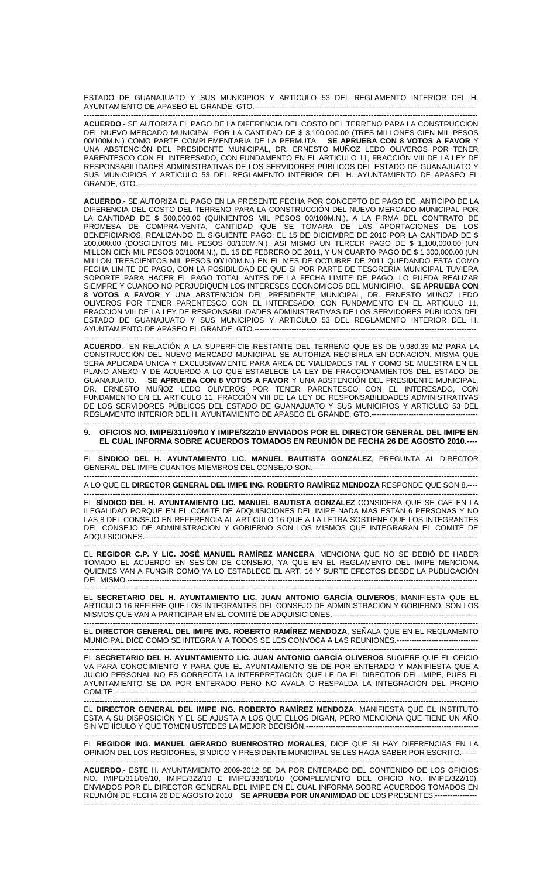ESTADO DE GUANAJUATO Y SUS MUNICIPIOS Y ARTICULO 53 DEL REGLAMENTO INTERIOR DEL H. AYUNTAMIENTO DE APASEO EL GRANDE, GTO.-----

------------------------------------------------------------------------------------------------------------------------------------------------------- **ACUERDO**.- SE AUTORIZA EL PAGO DE LA DIFERENCIA DEL COSTO DEL TERRENO PARA LA CONSTRUCCION DEL NUEVO MERCADO MUNICIPAL POR LA CANTIDAD DE \$ 3,100,000.00 (TRES MILLONES CIEN MIL PESOS 00/100M.N.) COMO PARTE COMPLEMENTARIA DE LA PERMUTA. **SE APRUEBA CON 8 VOTOS A FAVOR** Y UNA ABSTENCIÓN DEL PRESIDENTE MUNICIPAL, DR. ERNESTO MUÑOZ LEDO OLIVEROS POR TENER PARENTESCO CON EL INTERESADO, CON FUNDAMENTO EN EL ARTICULO 11, FRACCIÓN VIII DE LA LEY DE RESPONSABILIDADES ADMINISTRATIVAS DE LOS SERVIDORES PÚBLICOS DEL ESTADO DE GUANAJUATO Y SUS MUNICIPIOS Y ARTICULO 53 DEL REGLAMENTO INTERIOR DEL H. AYUNTAMIENTO DE APASEO EL GRANDE, GTO.------------------------------------------------------------------------------------------------------------------------------------------

------------------------------------------------------------------------------------------------------------------------------------------------------- **ACUERDO**.- SE AUTORIZA EL PAGO EN LA PRESENTE FECHA POR CONCEPTO DE PAGO DE ANTICIPO DE LA DIFERENCIA DEL COSTO DEL TERRENO PARA LA CONSTRUCCIÓN DEL NUEVO MERCADO MUNICIPAL POR LA CANTIDAD DE \$ 500,000.00 (QUINIENTOS MIL PESOS 00/100M.N.), A LA FIRMA DEL CONTRATO DE PROMESA DE COMPRA-VENTA, CANTIDAD QUE SE TOMARA DE LAS APORTACIONES DE LOS BENEFICIARIOS, REALIZANDO EL SIGUIENTE PAGO: EL 15 DE DICIEMBRE DE 2010 POR LA CANTIDAD DE \$ 200,000.00 (DOSCIENTOS MIL PESOS 00/100M.N.), ASI MISMO UN TERCER PAGO DE \$ 1,100,000.00 (UN MILLON CIEN MIL PESOS 00/100M.N.), EL 15 DE FEBRERO DE 2011, Y UN CUARTO PAGO DE \$ 1,300,000.00 (UN MILLON TRESCIENTOS MIL PESOS 00/100M.N.) EN EL MES DE OCTUBRE DE 2011 QUEDANDO ESTA COMO FECHA LIMITE DE PAGO, CON LA POSIBILIDAD DE QUE SI POR PARTE DE TESORERIA MUNICIPAL TUVIERA SOPORTE PARA HACER EL PAGO TOTAL ANTES DE LA FECHA LIMITE DE PAGO, LO PUEDA REALIZAR SIEMPRE Y CUANDO NO PERJUDIQUEN LOS INTERESES ECONOMICOS DEL MUNICIPIO. **SE APRUEBA CON 8 VOTOS A FAVOR** Y UNA ABSTENCIÓN DEL PRESIDENTE MUNICIPAL, DR. ERNESTO MUÑOZ LEDO OLIVEROS POR TENER PARENTESCO CON EL INTERESADO, CON FUNDAMENTO EN EL ARTICULO 11, FRACCIÓN VIII DE LA LEY DE RESPONSABILIDADES ADMINISTRATIVAS DE LOS SERVIDORES PÚBLICOS DEL ESTADO DE GUANAJUATO Y SUS MUNICIPIOS Y ARTICULO 53 DEL REGLAMENTO INTERIOR DEL H. AYUNTAMIENTO DE APASEO EL GRANDE, GTO.------------------------------------------------------------------------------------------

**ACUERDO**.- EN RELACIÓN A LA SUPERFICIE RESTANTE DEL TERRENO QUE ES DE 9,980.39 M2 PARA LA CONSTRUCCIÓN DEL NUEVO MERCADO MUNICIPAL SE AUTORIZA RECIBIRLA EN DONACIÓN, MISMA QUE SERA APLICADA UNICA Y EXCLUSIVAMENTE PARA AREA DE VIALIDADES TAL Y COMO SE MUESTRA EN EL PLANO ANEXO Y DE ACUERDO A LO QUE ESTABLECE LA LEY DE FRACCIONAMIENTOS DEL ESTADO DE GUANAJUATO. **SE APRUEBA CON 8 VOTOS A FAVOR** Y UNA ABSTENCIÓN DEL PRESIDENTE MUNICIPAL, DR. ERNESTO MUÑOZ LEDO OLIVEROS POR TENER PARENTESCO CON EL INTERESADO, CON FUNDAMENTO EN EL ARTICULO 11, FRACCIÓN VIII DE LA LEY DE RESPONSABILIDADES ADMINISTRATIVAS DE LOS SERVIDORES PÚBLICOS DEL ESTADO DE GUANAJUATO Y SUS MUNICIPIOS Y ARTICULO 53 DEL REGLAMENTO INTERIOR DEL H. AYUNTAMIENTO DE APASEO EL GRANDE, GTO.-------------------------------------------

-------------------------------------------------------------------------------------------------------------------------------------------------------

------------------------------------------------------------------------------------------------------------------------------------------------------- **9. OFICIOS NO. IMIPE/311/09/10 Y IMIPE/322/10 ENVIADOS POR EL DIRECTOR GENERAL DEL IMIPE EN EL CUAL INFORMA SOBRE ACUERDOS TOMADOS EN REUNIÓN DE FECHA 26 DE AGOSTO 2010.----**

------------------------------------------------------------------------------------------------------------------------------------------------------- EL **SÍNDICO DEL H. AYUNTAMIENTO LIC. MANUEL BAUTISTA GONZÁLEZ**, PREGUNTA AL DIRECTOR GENERAL DEL IMIPE CUANTOS MIEMBROS DEL CONSEJO SON.-------------------------------------------------------------------

------------------------------------------------------------------------------------------------------------------------------------------------------- A LO QUE EL **DIRECTOR GENERAL DEL IMIPE ING. ROBERTO RAMÍREZ MENDOZA** RESPONDE QUE SON 8.---- -------------------------------------------------------------------------------------------------------------------------------------------------------

EL **SÍNDICO DEL H. AYUNTAMIENTO LIC. MANUEL BAUTISTA GONZÁLEZ** CONSIDERA QUE SE CAE EN LA ILEGALIDAD PORQUE EN EL COMITÉ DE ADQUISICIONES DEL IMIPE NADA MAS ESTÁN 6 PERSONAS Y NO LAS 8 DEL CONSEJO EN REFERENCIA AL ARTICULO 16 QUE A LA LETRA SOSTIENE QUE LOS INTEGRANTES DEL CONSEJO DE ADMINISTRACION Y GOBIERNO SON LOS MISMOS QUE INTEGRARAN EL COMITÉ DE ADQUISICIONES.---------------------------------------------------------------------------------------------------------------------------------------

------------------------------------------------------------------------------------------------------------------------------------------------------- EL **REGIDOR C.P. Y LIC. JOSÉ MANUEL RAMÍREZ MANCERA**, MENCIONA QUE NO SE DEBIÓ DE HABER TOMADO EL ACUERDO EN SESIÓN DE CONSEJO, YA QUE EN EL REGLAMENTO DEL IMIPE MENCIONA QUIENES VAN A FUNGIR COMO YA LO ESTABLECE EL ART. 16 Y SURTE EFECTOS DESDE LA PUBLICACIÓN DEL MISMO.----------------------------------------------------------------------------------------------------------------------------------------------

------------------------------------------------------------------------------------------------------------------------------------------------------- EL **SECRETARIO DEL H. AYUNTAMIENTO LIC. JUAN ANTONIO GARCÍA OLIVEROS**, MANIFIESTA QUE EL ARTICULO 16 REFIERE QUE LOS INTEGRANTES DEL CONSEJO DE ADMINISTRACIÓN Y GOBIERNO, SON LOS MISMOS QUE VAN A PARTICIPAR EN EL COMITÉ DE ADQUISICIONES.-----------------------------------------------------------

------------------------------------------------------------------------------------------------------------------------------------------------------- EL **DIRECTOR GENERAL DEL IMIPE ING. ROBERTO RAMÍREZ MENDOZA**, SEÑALA QUE EN EL REGLAMENTO MUNICIPAL DICE COMO SE INTEGRA Y A TODOS SE LES CONVOCA A LAS REUNIONES.---------------------------------

------------------------------------------------------------------------------------------------------------------------------------------------------- EL **SECRETARIO DEL H. AYUNTAMIENTO LIC. JUAN ANTONIO GARCÍA OLIVEROS** SUGIERE QUE EL OFICIO VA PARA CONOCIMIENTO Y PARA QUE EL AYUNTAMIENTO SE DE POR ENTERADO Y MANIFIESTA QUE A JUICIO PERSONAL NO ES CORRECTA LA INTERPRETACIÓN QUE LE DA EL DIRECTOR DEL IMIPE, PUES EL AYUNTAMIENTO SE DA POR ENTERADO PERO NO AVALA O RESPALDA LA INTEGRACIÓN DEL PROPIO COMITÉ.---------------------------------------------------------------------------------------------------------------------------------------------------

EL **DIRECTOR GENERAL DEL IMIPE ING. ROBERTO RAMÍREZ MENDOZA**, MANIFIESTA QUE EL INSTITUTO ESTA A SU DISPOSICIÓN Y EL SE AJUSTA A LOS QUE ELLOS DIGAN, PERO MENCIONA QUE TIENE UN AÑO SIN VEHÍCULO Y QUE TOMEN USTEDES LA MEJOR DECISIÓN.----------------------------------------------------------------------

-------------------------------------------------------------------------------------------------------------------------------------------------------

------------------------------------------------------------------------------------------------------------------------------------------------------- EL **REGIDOR ING. MANUEL GERARDO BUENROSTRO MORALES**, DICE QUE SI HAY DIFERENCIAS EN LA OPINIÓN DEL LOS REGIDORES, SINDICO Y PRESIDENTE MUNICIPAL SE LES HAGA SABER POR ESCRITO.------

------------------------------------------------------------------------------------------------------------------------------------------------------- **ACUERDO**.- ESTE H. AYUNTAMIENTO 2009-2012 SE DA POR ENTERADO DEL CONTENIDO DE LOS OFICIOS NO. IMIPE/311/09/10, IMIPE/322/10 E IMIPE/336/10/10 (COMPLEMENTO DEL OFICIO NO. IMIPE/322/10), ENVIADOS POR EL DIRECTOR GENERAL DEL IMIPE EN EL CUAL INFORMA SOBRE ACUERDOS TOMADOS EN REUNIÓN DE FECHA 26 DE AGOSTO 2010. **SE APRUEBA POR UNANIMIDAD** DE LOS PRESENTES.----------------- -------------------------------------------------------------------------------------------------------------------------------------------------------